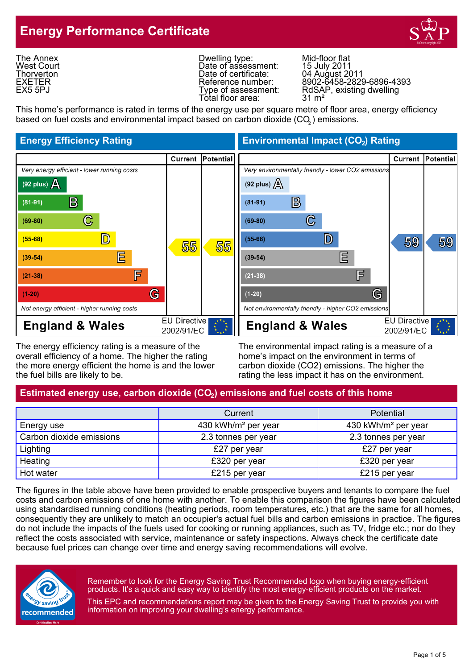## **Energy Performance Certificate**



The Annex West Court **Thorverton** EXETER EX5 5PJ

Dwelling type: Mid-floor flat<br>Date of assessment: 15 July 2011 Date of assessment: 15 July 2011<br>Date of certificate: 04 August 2011 Date of certificate:<br>Reference number: Total floor area:

Reference number: 8902-6458-2829-6896-4393 Type of assessment: RdSAP, existing dwelling<br>Total floor area: 31 m<sup>2</sup>

This home's performance is rated in terms of the energy use per square metre of floor area, energy efficiency based on fuel costs and environmental impact based on carbon dioxide (CO $_{\rm 2}$ ) emissions.

#### **Energy Efficiency Rating Environmental Impact (CO<sub>2</sub>) Rating** Current Potential **Current Potential** Very environmentally friendly - lower CO2 emissions Very energy efficient - lower running costs  $(92 \text{ plus})$   $\cancel{\triangle}$ (92 plus)  $\Delta$  $\mathbf{B}$ B  $(81-91)$  $(81-91)$  $\mathbb{C}% _{n}^{X}$ C  $(69-80)$  $(69-80)$  $(55-68)$  $\mathsf{D}$  $(55-68)$ D 59 59 55 55 匚 扂  $(39-54)$  $(39-54)$ F 屌  $(21-38)$  $(21-38)$ G G  $(1-20)$  $(1-20)$ Not energy efficient - higher running costs Not environmentally friendly - higher CO2 emissions **EU Directive EU Directive England & Wales England & Wales** 2002/91/EC 2002/91/EC

The energy efficiency rating is a measure of the The environmental impact rating is a measure of a overall efficiency of a home. The higher the rating home's impact on the environment in terms of the more energy efficient the home is and the lower carbon dioxide (CO2) emissions. The higher the the fuel bills are likely to be. The rating the less impact it has on the environment.

### Estimated energy use, carbon dioxide (CO<sub>2</sub>) emissions and fuel costs of this home

|                          | Current                         | <b>Potential</b>                |  |
|--------------------------|---------------------------------|---------------------------------|--|
| Energy use               | 430 kWh/m <sup>2</sup> per year | 430 kWh/m <sup>2</sup> per year |  |
| Carbon dioxide emissions | 2.3 tonnes per year             | 2.3 tonnes per year             |  |
| Lighting                 | £27 per year                    | £27 per year                    |  |
| Heating                  | £320 per year                   | £320 per year                   |  |
| Hot water                | £215 per year                   | £215 per year                   |  |

The figures in the table above have been provided to enable prospective buyers and tenants to compare the fuel costs and carbon emissions of one home with another. To enable this comparison the figures have been calculated using standardised running conditions (heating periods, room temperatures, etc.) that are the same for all homes, consequently they are unlikely to match an occupier's actual fuel bills and carbon emissions in practice. The figures do not include the impacts of the fuels used for cooking or running appliances, such as TV, fridge etc.; nor do they reflect the costs associated with service, maintenance or safety inspections. Always check the certificate date because fuel prices can change over time and energy saving recommendations will evolve.



Remember to look for the Energy Saving Trust Recommended logo when buying energy-efficient products. It's a quick and easy way to identify the most energy-efficient products on the market.

This EPC and recommendations report may be given to the Energy Saving Trust to provide you with information on improving your dwelling's energy performance.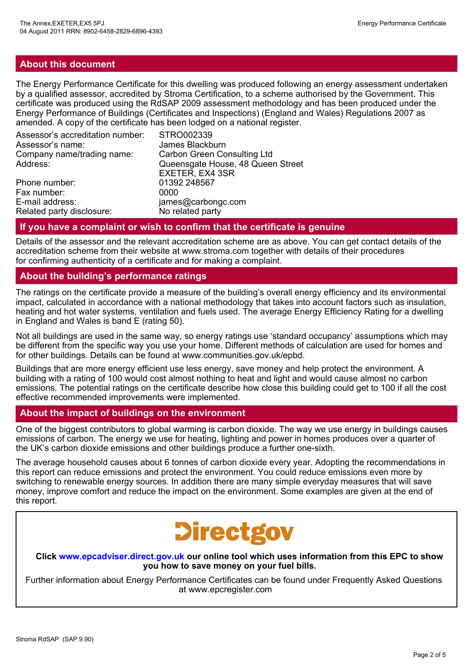#### **About this document**

The Energy Performance Certificate for this dwelling was produced following an energy assessment undertaken by a qualified assessor, accredited by Stroma Certification, to a scheme authorised by the Government. This certificate was produced using the RdSAP 2009 assessment methodology and has been produced under the Energy Performance of Buildings (Certificates and Inspections) (England and Wales) Regulations 2007 as amended. A copy of the certificate has been lodged on a national register.

| Assessor's accreditation number: | STRO002339                         |
|----------------------------------|------------------------------------|
| Assessor's name:                 | James Blackburn                    |
| Company name/trading name:       | <b>Carbon Green Consulting Ltd</b> |
| Address:                         | Queensgate House, 48 Queen Street  |
|                                  | EXETER, EX4 3SR                    |
| Phone number:                    | 01392 248567                       |
| Fax number:                      | 0000                               |
| E-mail address:                  | james@carbongc.com                 |
| Related party disclosure:        | No related party                   |

#### **If you have a complaint or wish to confirm that the certificate is genuine**

Details of the assessor and the relevant accreditation scheme are as above. You can get contact details of the accreditation scheme from their website at www.stroma.com together with details of their procedures for confirming authenticity of a certificate and for making a complaint.

#### **About the building's performance ratings**

The ratings on the certificate provide a measure of the building's overall energy efficiency and its environmental impact, calculated in accordance with a national methodology that takes into account factors such as insulation, heating and hot water systems, ventilation and fuels used. The average Energy Efficiency Rating for a dwelling in England and Wales is band E (rating 50).

Not all buildings are used in the same way, so energy ratings use 'standard occupancy' assumptions which may be different from the specific way you use your home. Different methods of calculation are used for homes and for other buildings. Details can be found at www.communities.gov.uk/epbd.

Buildings that are more energy efficient use less energy, save money and help protect the environment. A building with a rating of 100 would cost almost nothing to heat and light and would cause almost no carbon emissions. The potential ratings on the certificate describe how close this building could get to 100 if all the cost effective recommended improvements were implemented.

#### **About the impact of buildings on the environment**

One of the biggest contributors to global warming is carbon dioxide. The way we use energy in buildings causes emissions of carbon. The energy we use for heating, lighting and power in homes produces over a quarter of the UK's carbon dioxide emissions and other buildings produce a further one-sixth.

The average household causes about 6 tonnes of carbon dioxide every year. Adopting the recommendations in this report can reduce emissions and protect the environment. You could reduce emissions even more by switching to renewable energy sources. In addition there are many simple everyday measures that will save money, improve comfort and reduce the impact on the environment. Some examples are given at the end of this report.

# **Directgov**

**Click www.epcadviser.direct.gov.uk our online tool which uses information from this EPC to show you how to save money on your fuel bills.**

Further information about Energy Performance Certificates can be found under Frequently Asked Questions at www.epcregister.com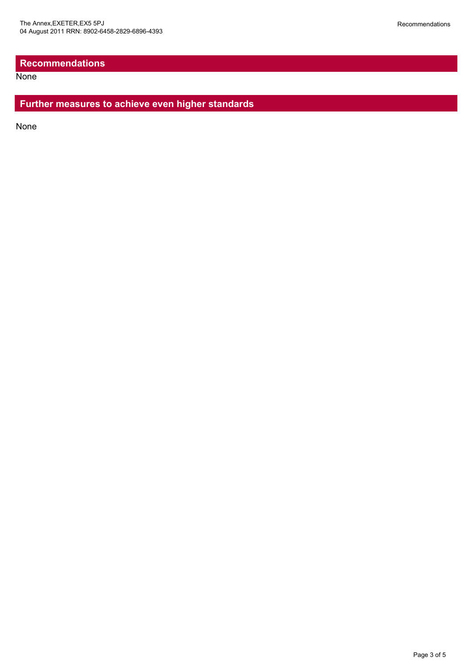#### **Recommendations**

**None** 

#### **Further measures to achieve even higher standards**

None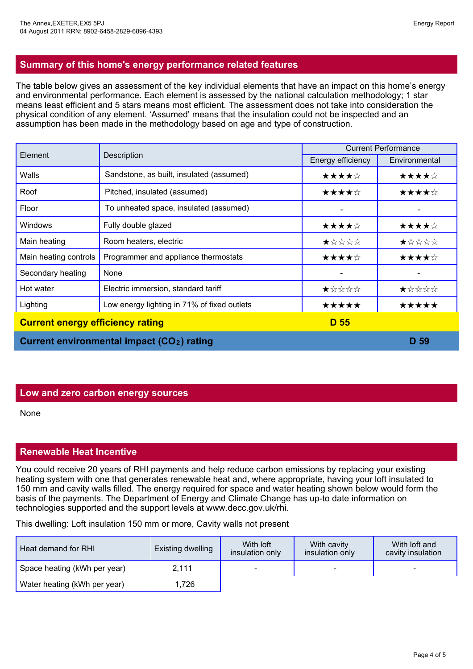The table below gives an assessment of the key individual elements that have an impact on this home's energy and environmental performance. Each element is assessed by the national calculation methodology; 1 star means least efficient and 5 stars means most efficient. The assessment does not take into consideration the physical condition of any element. 'Assumed' means that the insulation could not be inspected and an assumption has been made in the methodology based on age and type of construction.

| Element                                                |                                             | <b>Current Performance</b> |               |
|--------------------------------------------------------|---------------------------------------------|----------------------------|---------------|
|                                                        | Description                                 | Energy efficiency          | Environmental |
| Walls                                                  | Sandstone, as built, insulated (assumed)    | ★★★★☆                      | ★★★★☆         |
| Roof                                                   | Pitched, insulated (assumed)                | ★★★★☆                      | ★★★★☆         |
| Floor                                                  | To unheated space, insulated (assumed)      |                            |               |
| Windows                                                | Fully double glazed                         | ★★★★☆                      | ★★★★☆         |
| Main heating                                           | Room heaters, electric                      | ★☆☆☆☆                      | ★☆☆☆☆         |
| Main heating controls                                  | Programmer and appliance thermostats        | ★★★★☆                      | ★★★★☆         |
| Secondary heating                                      | None                                        |                            |               |
| Hot water                                              | Electric immersion, standard tariff         | ★☆☆☆☆                      | ★☆☆☆☆         |
| Lighting                                               | Low energy lighting in 71% of fixed outlets | ★★★★★                      | ★★★★★         |
| <b>Current energy efficiency rating</b>                |                                             | D 55                       |               |
| Current environmental impact (CO <sub>2</sub> ) rating |                                             |                            | D 59          |

#### **Low and zero carbon energy sources**

None

#### **Renewable Heat Incentive**

You could receive 20 years of RHI payments and help reduce carbon emissions by replacing your existing heating system with one that generates renewable heat and, where appropriate, having your loft insulated to 150 mm and cavity walls filled. The energy required for space and water heating shown below would form the basis of the payments. The Department of Energy and Climate Change has up-to date information on technologies supported and the support levels at www.decc.gov.uk/rhi.

This dwelling: Loft insulation 150 mm or more, Cavity walls not present

| Heat demand for RHI          | <b>Existing dwelling</b> | With <b>loft</b><br>insulation only | With cavity<br>insulation only | With loft and<br>cavity insulation |
|------------------------------|--------------------------|-------------------------------------|--------------------------------|------------------------------------|
| Space heating (kWh per year) | 2.111                    | -                                   |                                | $\overline{\phantom{0}}$           |
| Water heating (kWh per year) | 1,726                    |                                     |                                |                                    |